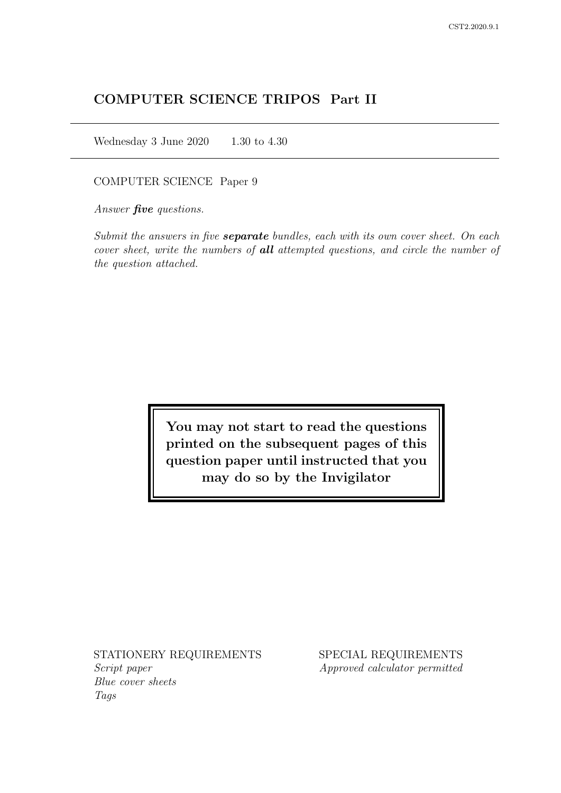# COMPUTER SCIENCE TRIPOS Part II

Wednesday 3 June 2020 1.30 to 4.30

COMPUTER SCIENCE Paper 9

Answer *five* questions.

Submit the answers in five **separate** bundles, each with its own cover sheet. On each cover sheet, write the numbers of **all** attempted questions, and circle the number of the question attached.

> You may not start to read the questions printed on the subsequent pages of this question paper until instructed that you may do so by the Invigilator

STATIONERY REQUIREMENTS Script paper Blue cover sheets

Tags

SPECIAL REQUIREMENTS Approved calculator permitted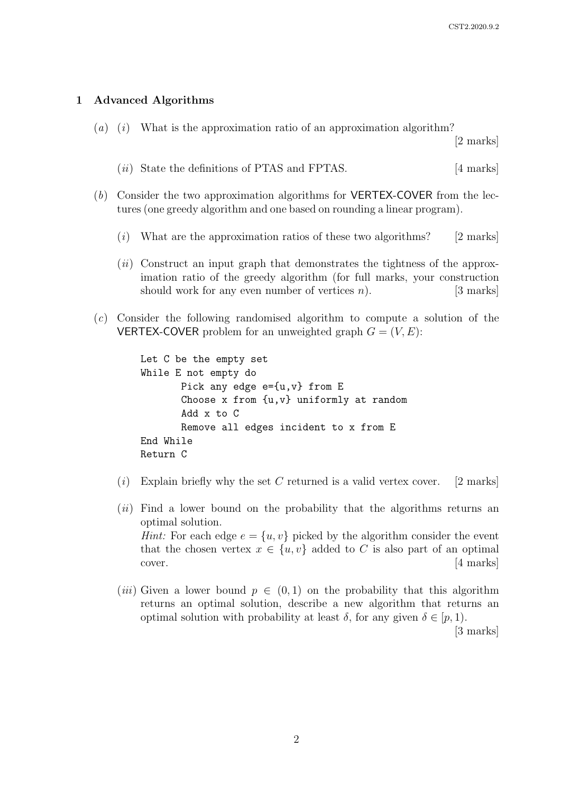### 1 Advanced Algorithms

(a) (i) What is the approximation ratio of an approximation algorithm?

[2 marks]

- (*ii*) State the definitions of PTAS and FPTAS. [4 marks]
- (b) Consider the two approximation algorithms for VERTEX-COVER from the lectures (one greedy algorithm and one based on rounding a linear program).
	- $(i)$  What are the approximation ratios of these two algorithms? [2 marks]
	- $(ii)$  Construct an input graph that demonstrates the tightness of the approximation ratio of the greedy algorithm (for full marks, your construction should work for any even number of vertices  $n$ ). [3 marks]
- (c) Consider the following randomised algorithm to compute a solution of the **VERTEX-COVER** problem for an unweighted graph  $G = (V, E)$ :

```
Let C be the empty set
While E not empty do
       Pick any edge e={u,v} from E
       Choose x from {u,v} uniformly at random
       Add x to C
       Remove all edges incident to x from E
End While
Return C
```
- $(i)$  Explain briefly why the set C returned is a valid vertex cover. [2 marks]
- $(ii)$  Find a lower bound on the probability that the algorithms returns an optimal solution. *Hint:* For each edge  $e = \{u, v\}$  picked by the algorithm consider the event that the chosen vertex  $x \in \{u, v\}$  added to C is also part of an optimal cover. [4 marks]
- (*iii*) Given a lower bound  $p \in (0,1)$  on the probability that this algorithm returns an optimal solution, describe a new algorithm that returns an optimal solution with probability at least  $\delta$ , for any given  $\delta \in [p, 1)$ .

[3 marks]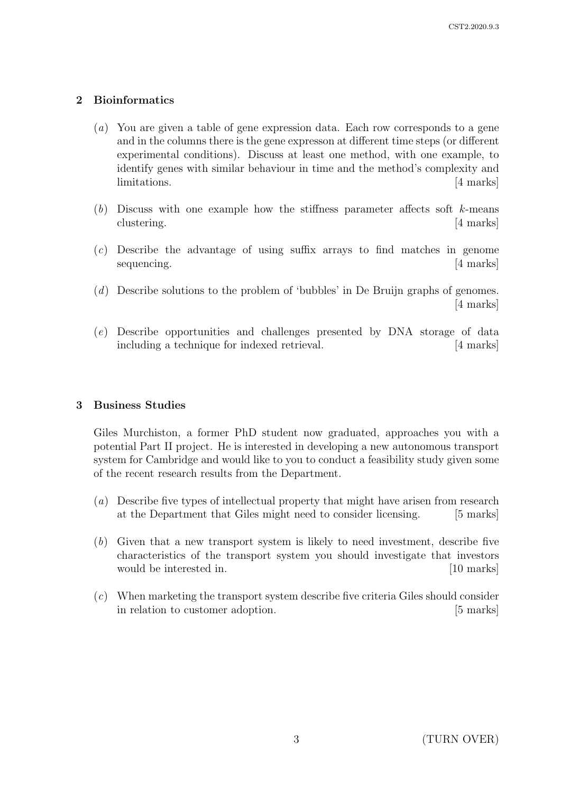## 2 Bioinformatics

- (a) You are given a table of gene expression data. Each row corresponds to a gene and in the columns there is the gene expresson at different time steps (or different experimental conditions). Discuss at least one method, with one example, to identify genes with similar behaviour in time and the method's complexity and limitations. [4 marks]
- $(b)$  Discuss with one example how the stiffness parameter affects soft k-means clustering. [4 marks]
- (c) Describe the advantage of using suffix arrays to find matches in genome sequencing. [4 marks]
- (d) Describe solutions to the problem of 'bubbles' in De Bruijn graphs of genomes. [4 marks]
- (e) Describe opportunities and challenges presented by DNA storage of data including a technique for indexed retrieval. [4 marks]

## 3 Business Studies

Giles Murchiston, a former PhD student now graduated, approaches you with a potential Part II project. He is interested in developing a new autonomous transport system for Cambridge and would like to you to conduct a feasibility study given some of the recent research results from the Department.

- (a) Describe five types of intellectual property that might have arisen from research at the Department that Giles might need to consider licensing. [5 marks]
- (b) Given that a new transport system is likely to need investment, describe five characteristics of the transport system you should investigate that investors would be interested in. [10 marks]
- (c) When marketing the transport system describe five criteria Giles should consider in relation to customer adoption. [5 marks]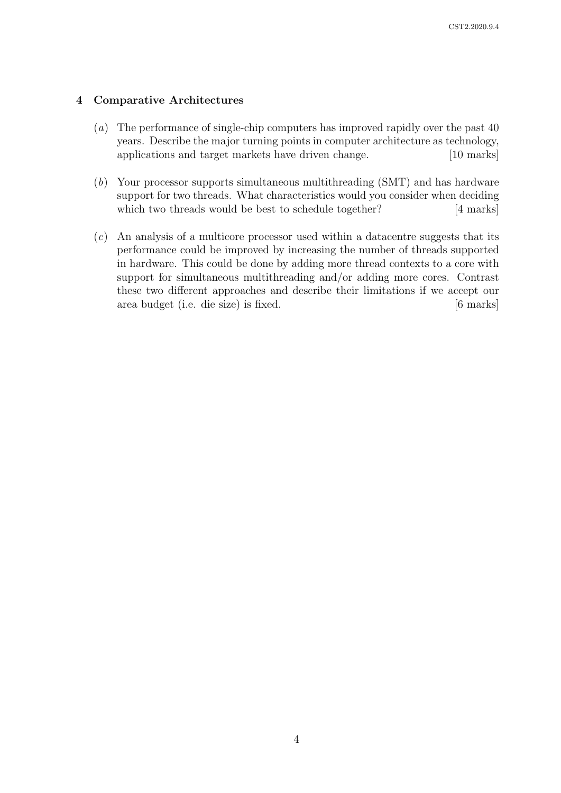### 4 Comparative Architectures

- (a) The performance of single-chip computers has improved rapidly over the past 40 years. Describe the major turning points in computer architecture as technology, applications and target markets have driven change. [10 marks]
- (b) Your processor supports simultaneous multithreading (SMT) and has hardware support for two threads. What characteristics would you consider when deciding which two threads would be best to schedule together? [4 marks]
- (c) An analysis of a multicore processor used within a datacentre suggests that its performance could be improved by increasing the number of threads supported in hardware. This could be done by adding more thread contexts to a core with support for simultaneous multithreading and/or adding more cores. Contrast these two different approaches and describe their limitations if we accept our area budget (i.e. die size) is fixed. [6 marks]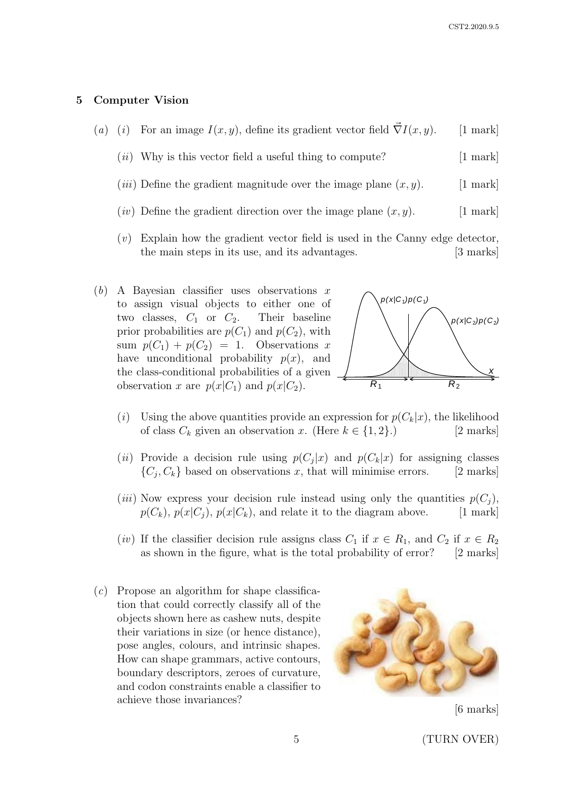#### 5 Computer Vision

- (a) (i) For an image  $I(x, y)$ , define its gradient vector field  $\vec{\nabla} I(x, y)$ . [1 mark]
	- $(ii)$  Why is this vector field a useful thing to compute? [1 mark]
	- (*iii*) Define the gradient magnitude over the image plane  $(x, y)$ . [1 mark]
	- (*iv*) Define the gradient direction over the image plane  $(x, y)$ . [1 mark]
	- (v) Explain how the gradient vector field is used in the Canny edge detector, the main steps in its use, and its advantages. [3 marks]
- (b) A Bayesian classifier uses observations  $x$ to assign visual objects to either one of two classes,  $C_1$  or  $C_2$ . Their baseline prior probabilities are  $p(C_1)$  and  $p(C_2)$ , with sum  $p(C_1) + p(C_2) = 1$ . Observations x have unconditional probability  $p(x)$ , and the class-conditional probabilities of a given observation x are  $p(x|C_1)$  and  $p(x|C_2)$ .



- (i) Using the above quantities provide an expression for  $p(C_k|x)$ , the likelihood of class  $C_k$  given an observation x. (Here  $k \in \{1, 2\}$ .) [2 marks]
- (*ii*) Provide a decision rule using  $p(C_j|x)$  and  $p(C_k|x)$  for assigning classes  $\{C_j, C_k\}$  based on observations x, that will minimise errors. [2 marks]
- (*iii*) Now express your decision rule instead using only the quantities  $p(C_i)$ ,  $p(C_k)$ ,  $p(x|C_j)$ ,  $p(x|C_k)$ , and relate it to the diagram above. [1 mark]
- (*iv*) If the classifier decision rule assigns class  $C_1$  if  $x \in R_1$ , and  $C_2$  if  $x \in R_2$ as shown in the figure, what is the total probability of error? [2 marks]
- $(c)$  Propose an algorithm for shape classification that could correctly classify all of the objects shown here as cashew nuts, despite their variations in size (or hence distance), pose angles, colours, and intrinsic shapes. How can shape grammars, active contours, boundary descriptors, zeroes of curvature, and codon constraints enable a classifier to achieve those invariances?



[6 marks]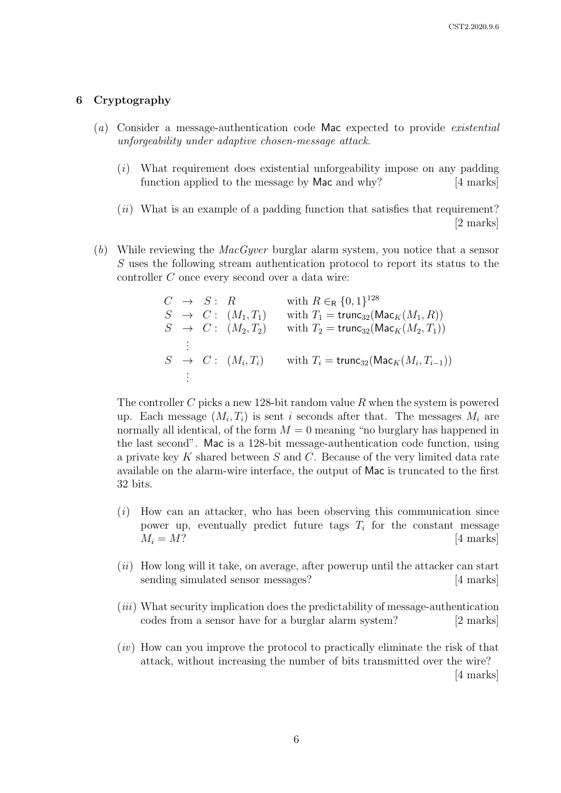#### 6 Cryptography

- (a) Consider a message-authentication code Mac expected to provide existential unforgeability under adaptive chosen-message attack.
	- (i) What requirement does existential unforgeability impose on any padding function applied to the message by Mac and why? [4 marks]
	- $(ii)$  What is an example of a padding function that satisfies that requirement? [2 marks]
- (b) While reviewing the  $MacGyver$  burglar alarm system, you notice that a sensor S uses the following stream authentication protocol to report its status to the controller C once every second over a data wire:

|                | $C \rightarrow S : R$ |                               | with $R \in_R \{0,1\}^{128}$                               |
|----------------|-----------------------|-------------------------------|------------------------------------------------------------|
|                |                       | $S \rightarrow C: (M_1, T_1)$ | with $T_1 = \text{trunc}_{32}(\text{Mac}_K(M_1, R))$       |
|                |                       | $S \rightarrow C: (M_2, T_2)$ | with $T_2 = \text{trunc}_{32}(\text{Mac}_K(M_2, T_1))$     |
|                |                       |                               |                                                            |
|                |                       | $S \rightarrow C: (M_i, T_i)$ | with $T_i = \text{trunc}_{32}(\text{Mac}_K(M_i, T_{i-1}))$ |
| $\mathbb{R}^2$ |                       |                               |                                                            |

The controller C picks a new 128-bit random value R when the system is powered up. Each message  $(M_i, T_i)$  is sent i seconds after that. The messages  $M_i$  are normally all identical, of the form  $M = 0$  meaning "no burglary has happened in the last second". Mac is a 128-bit message-authentication code function, using a private key K shared between  $S$  and  $C$ . Because of the very limited data rate available on the alarm-wire interface, the output of Mac is truncated to the first 32 bits.

- $(i)$  How can an attacker, who has been observing this communication since power up, eventually predict future tags  $T_i$  for the constant message  $M_i = M$ ? [4 marks]
- $(ii)$  How long will it take, on average, after powerup until the attacker can start sending simulated sensor messages? [4 marks]
- (iii) What security implication does the predictability of message-authentication codes from a sensor have for a burglar alarm system? [2 marks]
- $(iv)$  How can you improve the protocol to practically eliminate the risk of that attack, without increasing the number of bits transmitted over the wire? [4 marks]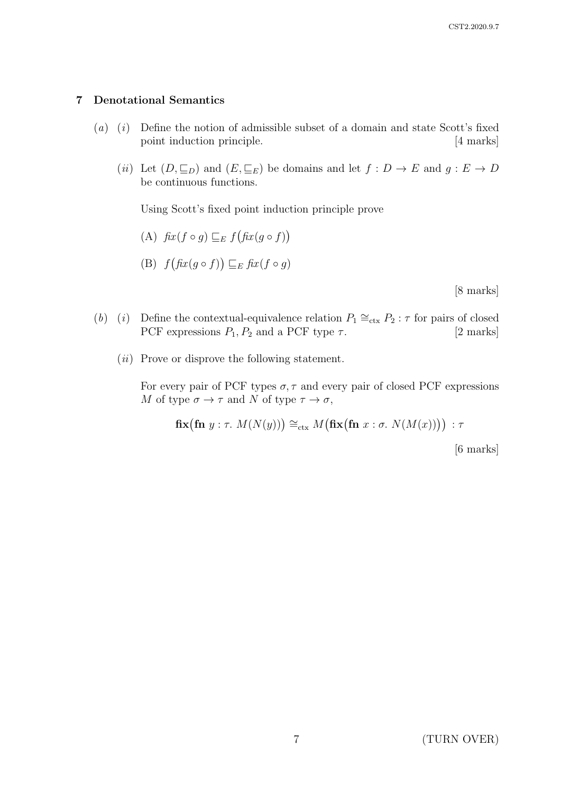## 7 Denotational Semantics

- $(a)$   $(i)$  Define the notion of admissible subset of a domain and state Scott's fixed point induction principle. [4 marks]
	- (ii) Let  $(D, \subseteq_D)$  and  $(E, \subseteq_E)$  be domains and let  $f : D \to E$  and  $g : E \to D$ be continuous functions.

Using Scott's fixed point induction principle prove

(A) 
$$
fix(f \circ g) \sqsubseteq_E f(fix(g \circ f))
$$

(B) 
$$
f(f(x(g \circ f)) \sqsubseteq_E f(x(f \circ g))
$$

[8 marks]

- (b) (i) Define the contextual-equivalence relation  $P_1 \cong_{\text{ctx}} P_2 : \tau$  for pairs of closed PCF expressions  $P_1, P_2$  and a PCF type  $\tau$ . [2 marks]
	- $(ii)$  Prove or disprove the following statement.

For every pair of PCF types  $\sigma$ ,  $\tau$  and every pair of closed PCF expressions M of type  $\sigma \to \tau$  and N of type  $\tau \to \sigma$ ,

$$
\mathbf{fix}(\mathbf{fn} \ y: \tau. \ M(N(y))) \cong_{\text{ctx}} M(\mathbf{fix}(\mathbf{fn} \ x: \sigma. \ N(M(x)))) : \tau
$$

[6 marks]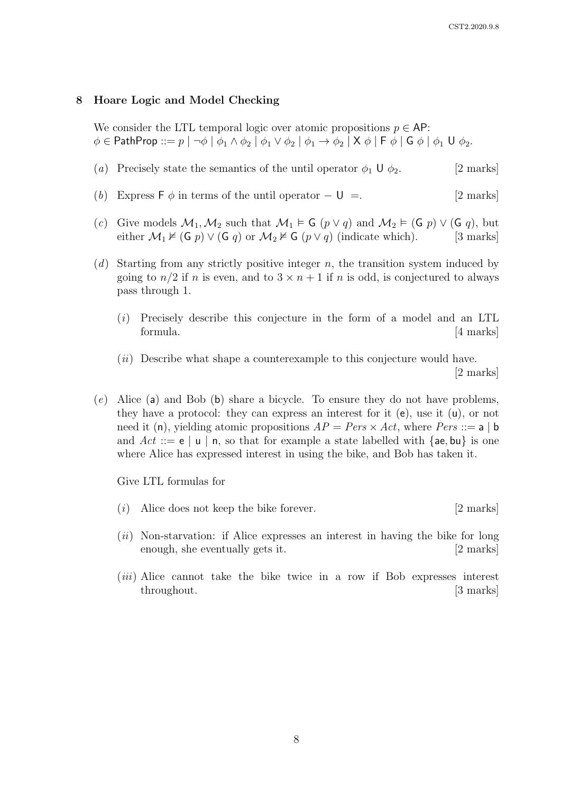#### 8 Hoare Logic and Model Checking

We consider the LTL temporal logic over atomic propositions  $p \in AP$ :  $\phi \in \mathsf{PathProp} :: = p \mid \neg \phi \mid \phi_1 \wedge \phi_2 \mid \phi_1 \vee \phi_2 \mid \phi_1 \rightarrow \phi_2 \mid \mathsf{X} \phi \mid \mathsf{F} \phi \mid \mathsf{G} \phi \mid \phi_1 \mathsf{U} \phi_2.$ 

- (a) Precisely state the semantics of the until operator  $\phi_1 \cup \phi_2$ . [2 marks]
- (b) Express F  $\phi$  in terms of the until operator  $-\mathsf{U} =$ . [2 marks]
- (c) Give models  $\mathcal{M}_1, \mathcal{M}_2$  such that  $\mathcal{M}_1 \models G$  ( $p \lor q$ ) and  $\mathcal{M}_2 \models (G \ p) \lor (G \ q)$ , but either  $\mathcal{M}_1 \nvDash (G p) \vee (G q)$  or  $\mathcal{M}_2 \nvDash G (p \vee q)$  (indicate which). [3 marks]
- $(d)$  Starting from any strictly positive integer n, the transition system induced by going to  $n/2$  if n is even, and to  $3 \times n + 1$  if n is odd, is conjectured to always pass through 1.
	- (i) Precisely describe this conjecture in the form of a model and an LTL formula.  $\left|4 \text{ marks}\right|$
	- $(ii)$  Describe what shape a counterexample to this conjecture would have. [2 marks]
- (e) Alice (a) and Bob (b) share a bicycle. To ensure they do not have problems, they have a protocol: they can express an interest for it  $(e)$ , use it  $(u)$ , or not need it (n), yielding atomic propositions  $AP = Pers \times Act$ , where  $Pers ::= a | b$ and  $Act ::= e | u | n$ , so that for example a state labelled with {ae, bu} is one where Alice has expressed interest in using the bike, and Bob has taken it.

Give LTL formulas for

- (i) Alice does not keep the bike forever. [2 marks]
- $(ii)$  Non-starvation: if Alice expresses an interest in having the bike for long enough, she eventually gets it. [2 marks]
- (iii) Alice cannot take the bike twice in a row if Bob expresses interest throughout. [3 marks]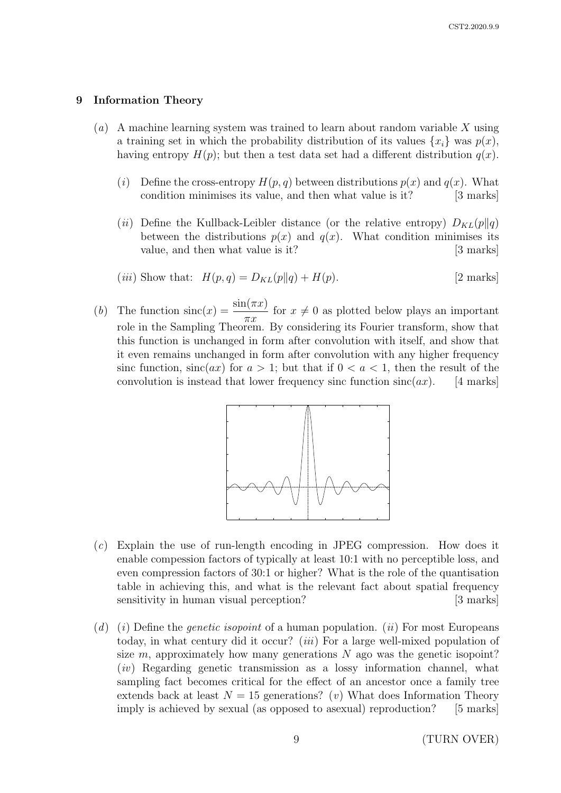#### 9 Information Theory

- (a) A machine learning system was trained to learn about random variable X using a training set in which the probability distribution of its values  $\{x_i\}$  was  $p(x)$ , having entropy  $H(p)$ ; but then a test data set had a different distribution  $q(x)$ .
	- (i) Define the cross-entropy  $H(p,q)$  between distributions  $p(x)$  and  $q(x)$ . What condition minimises its value, and then what value is it? [3 marks]
	- (ii) Define the Kullback-Leibler distance (or the relative entropy)  $D_{KL}(p||q)$ between the distributions  $p(x)$  and  $q(x)$ . What condition minimises its value, and then what value is it? [3 marks]
	- (*iii*) Show that:  $H(p,q) = D_{KL}(p||q) + H(p)$ . [2 marks]
- (b) The function  $\operatorname{sinc}(x) = \frac{\sin(\pi x)}{}$  $\pi x$ for  $x \neq 0$  as plotted below plays an important role in the Sampling Theorem. By considering its Fourier transform, show that this function is unchanged in form after convolution with itself, and show that it even remains unchanged in form after convolution with any higher frequency sinc function,  $sinc(ax)$  for  $a > 1$ ; but that if  $0 < a < 1$ , then the result of the convolution is instead that lower frequency sinc function  $sinc(ax)$ . [4 marks]



- $(c)$  Explain the use of run-length encoding in JPEG compression. How does it sensitivity in human visual perception? [3 marks] table in achieving this, and what is the relevant fact about spatial frequency enable compession factors of typically at least 10:1 with no perceptible loss, and even compression factors of 30:1 or higher? What is the role of the quantisation
- extends back at least  $N = 15$  generations? (v) What does Information Theory sampling fact becomes critical for the effect of an ancestor once a family tree size  $m$ , approximately how many generations  $N$  ago was the genetic isopoint? today, in what century did it occur? *(iii)* For a large well-mixed population of (d) (i) Define the *genetic isopoint* of a human population. (ii) For most Europeans (iv) Regarding genetic transmission as a lossy information channel, what imply is achieved by sexual (as opposed to asexual) reproduction? [5 marks]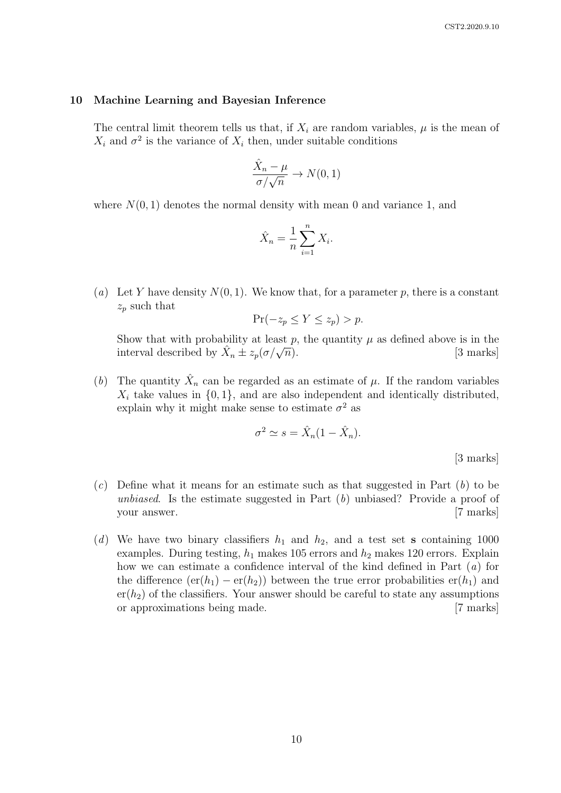#### 10 Machine Learning and Bayesian Inference

The central limit theorem tells us that, if  $X_i$  are random variables,  $\mu$  is the mean of  $X_i$  and  $\sigma^2$  is the variance of  $X_i$  then, under suitable conditions

$$
\frac{\hat{X}_n - \mu}{\sigma / \sqrt{n}} \to N(0, 1)
$$

where  $N(0, 1)$  denotes the normal density with mean 0 and variance 1, and

$$
\hat{X}_n = \frac{1}{n} \sum_{i=1}^n X_i.
$$

(a) Let Y have density  $N(0, 1)$ . We know that, for a parameter p, there is a constant  $z_p$  such that

$$
\Pr(-z_p \le Y \le z_p) > p.
$$

Show that with probability at least p, the quantity  $\mu$  as defined above is in the show that with probability at least<br>interval described by  $\hat{X}_n \pm z_p(\sigma/\sqrt{\sigma})$ [3 marks]

(b) The quantity  $\hat{X}_n$  can be regarded as an estimate of  $\mu$ . If the random variables  $X_i$  take values in  $\{0, 1\}$ , and are also independent and identically distributed, explain why it might make sense to estimate  $\sigma^2$  as

$$
\sigma^2 \simeq s = \hat{X}_n (1 - \hat{X}_n).
$$

[3 marks]

- $(c)$  Define what it means for an estimate such as that suggested in Part  $(b)$  to be unbiased. Is the estimate suggested in Part  $(b)$  unbiased? Provide a proof of your answer. [7 marks]
- (d) We have two binary classifiers  $h_1$  and  $h_2$ , and a test set s containing 1000 examples. During testing,  $h_1$  makes 105 errors and  $h_2$  makes 120 errors. Explain how we can estimate a confidence interval of the kind defined in Part (a) for the difference  $(\text{er}(h_1) - \text{er}(h_2))$  between the true error probabilities  $\text{er}(h_1)$  and  $er(h<sub>2</sub>)$  of the classifiers. Your answer should be careful to state any assumptions or approximations being made. [7 marks]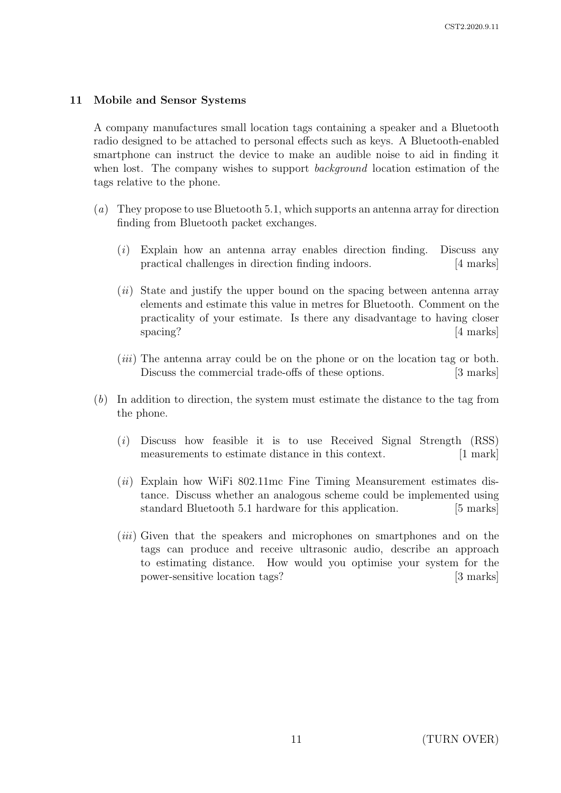## 11 Mobile and Sensor Systems

A company manufactures small location tags containing a speaker and a Bluetooth radio designed to be attached to personal effects such as keys. A Bluetooth-enabled smartphone can instruct the device to make an audible noise to aid in finding it when lost. The company wishes to support *background* location estimation of the tags relative to the phone.

- (a) They propose to use Bluetooth 5.1, which supports an antenna array for direction finding from Bluetooth packet exchanges.
	- $(i)$  Explain how an antenna array enables direction finding. Discuss any practical challenges in direction finding indoors. [4 marks]
	- (*ii*) State and justify the upper bound on the spacing between antenna array elements and estimate this value in metres for Bluetooth. Comment on the practicality of your estimate. Is there any disadvantage to having closer spacing? [4 marks]
	- (*iii*) The antenna array could be on the phone or on the location tag or both. Discuss the commercial trade-offs of these options. [3 marks]
- (b) In addition to direction, the system must estimate the distance to the tag from the phone.
	- (i) Discuss how feasible it is to use Received Signal Strength (RSS) measurements to estimate distance in this context. [1 mark]
	- $(ii)$  Explain how WiFi 802.11mc Fine Timing Meansurement estimates distance. Discuss whether an analogous scheme could be implemented using standard Bluetooth 5.1 hardware for this application. [5 marks]
	- (iii) Given that the speakers and microphones on smartphones and on the tags can produce and receive ultrasonic audio, describe an approach to estimating distance. How would you optimise your system for the power-sensitive location tags? [3 marks]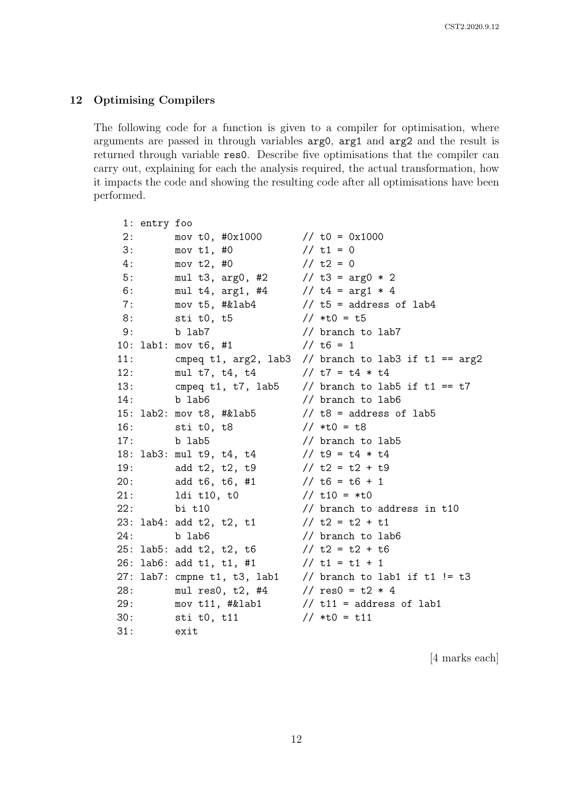#### 12 Optimising Compilers

The following code for a function is given to a compiler for optimisation, where arguments are passed in through variables arg0, arg1 and arg2 and the result is returned through variable res0. Describe five optimisations that the compiler can carry out, explaining for each the analysis required, the actual transformation, how it impacts the code and showing the resulting code after all optimisations have been performed.

```
1: entry foo
2: mov t0, #0x1000 // t0 = 0x1000
3: mov t1, #0 // t1 = 0
4: \t{now t2. #0} // t2 = 05: mul t3, arg0, #2 // t3 = arg0 * 2
6: mul t4, arg1, #4 // t4 = arg1 * 4
7: mov t5, #klab4 // t5 = address of lab4
8: sti t0, t5 // *t0 = t5
9: b lab7 // branch to lab7
10: lab1: mov t6, #1 // t6 = 1
11: cmpeq t1, arg2, lab3 // branch to lab3 if t1 == arg212: mul t7, t4, t4 \frac{1}{2} t7 = t4 * t4
13: cmpeq t1, t7, lab5 \frac{1}{2} branch to lab5 if t1 == t7
14: b lab6 // branch to lab6
15: lab2: mov t8, #&lab5 // t8 = address of lab5
16: sti t0, t8 // *t0 = t8
17: b lab5 // branch to lab5
18: lab3: mul t9, t4, t4 // t9 = t4 * t4
19: add t2, t2, t9 // t2 = t2 + t9
20: add t6, t6, #1 // t6 = t6 + 1
21: ldi \t10, \t10 // t10 = *t022: bi t10 \frac{1}{2} branch to address in t10
23: lab4: add t2, t2, t1 // t2 = t2 + t1
24: b lab6 // branch to lab6
25: lab5: add t2, t2, t6 // t2 = t2 + t6
26: lab6: add t1, t1, #1 // t1 = t1 + 1
27: lab7: cmpne t1, t3, lab1 \frac{1}{2} branch to lab1 if t1 != t3
28: mul res0, t2, #4 // res0 = t2 * 4
29: mov t11, #klab1 // t11 = address of lab1
30: sti t0, t11 // *t0 = t11
31: exit
```
[4 marks each]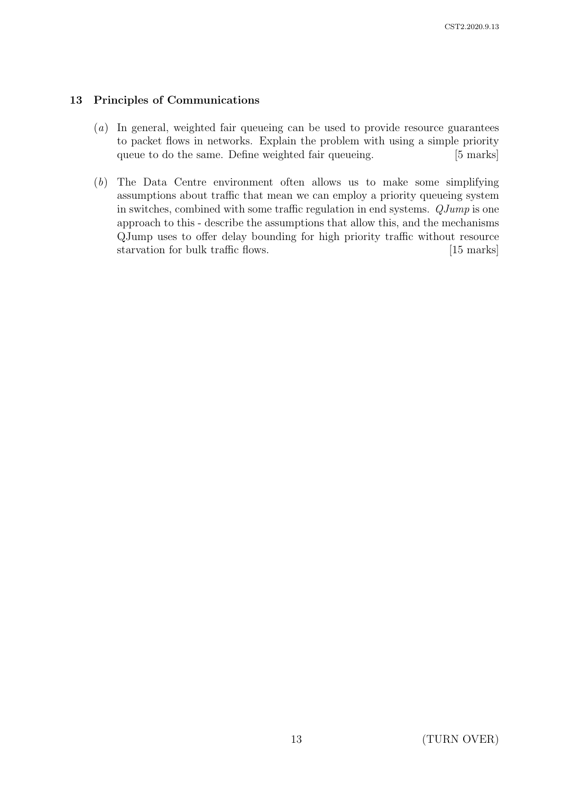## 13 Principles of Communications

- (a) In general, weighted fair queueing can be used to provide resource guarantees to packet flows in networks. Explain the problem with using a simple priority queue to do the same. Define weighted fair queueing. [5 marks]
- (b) The Data Centre environment often allows us to make some simplifying assumptions about traffic that mean we can employ a priority queueing system in switches, combined with some traffic regulation in end systems. QJump is one approach to this - describe the assumptions that allow this, and the mechanisms QJump uses to offer delay bounding for high priority traffic without resource starvation for bulk traffic flows. [15 marks]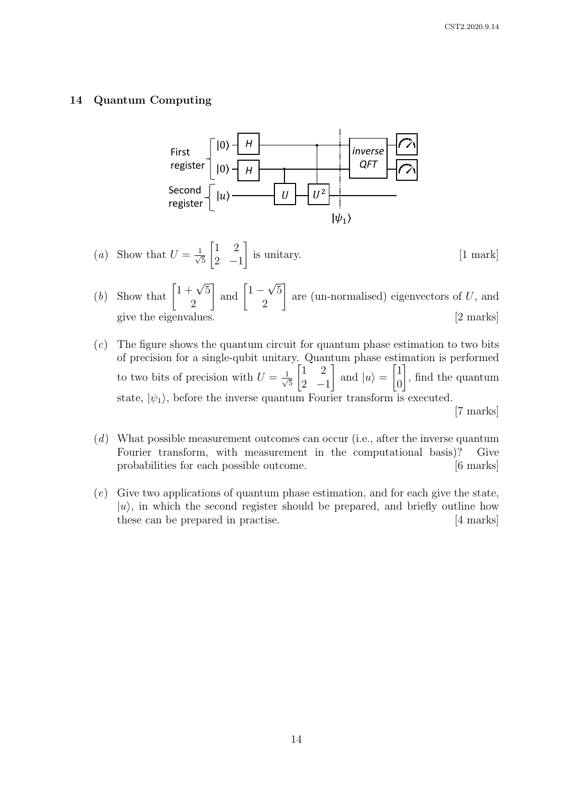#### 14 Quantum Computing



(a) Show that 
$$
U = \frac{1}{\sqrt{5}} \begin{bmatrix} 1 & 2 \\ 2 & -1 \end{bmatrix}
$$
 is unitary. [1 mark]

- (*b*) Show that  $\left[1+\sqrt{5}\right]$ 2  $\Big]$  and  $\Big[1-\Big]$ √ 5 2 1 are (un-normalised) eigenvectors of U, and give the eigenvalues. [2 marks]
- $(c)$  The figure shows the quantum circuit for quantum phase estimation to two bits of precision for a single-qubit unitary. Quantum phase estimation is performed to two bits of precision with  $U = \frac{1}{\sqrt{2}}$ 5  $\begin{bmatrix} 1 & 2 \end{bmatrix}$  $2 -1$ 1 and  $|u\rangle =$  $\lceil 1 \rceil$  $\theta$ 1 , find the quantum state,  $|\psi_1\rangle$ , before the inverse quantum Fourier transform is executed. [7 marks]
- (d) What possible measurement outcomes can occur (i.e., after the inverse quantum Fourier transform, with measurement in the computational basis)? Give probabilities for each possible outcome. [6 marks]
- (e) Give two applications of quantum phase estimation, and for each give the state,  $|u\rangle$ , in which the second register should be prepared, and briefly outline how these can be prepared in practise. [4 marks]